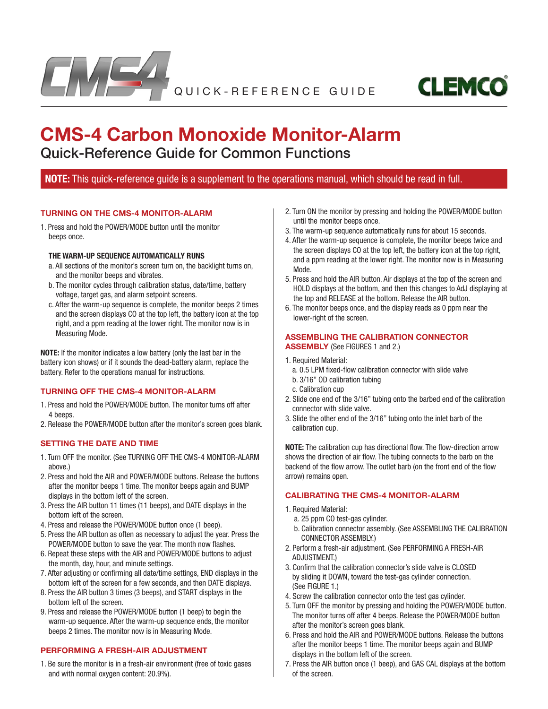



# **CMS-4 Carbon Monoxide Monitor-Alarm** Quick-Reference Guide for Common Functions

## **NOTE:** This quick-reference guide is a supplement to the operations manual, which should be read in full.

#### **TURNING ON THE CMS-4 MONITOR-ALARM**

1. Press and hold the POWER/MODE button until the monitor beeps once.

#### **THE WARM-UP SEQUENCE AUTOMATICALLY RUNS**

- a. All sections of the monitor's screen turn on, the backlight turns on, and the monitor beeps and vibrates.
- b. The monitor cycles through calibration status, date/time, battery voltage, target gas, and alarm setpoint screens.
- c. After the warm-up sequence is complete, the monitor beeps 2 times and the screen displays CO at the top left, the battery icon at the top right, and a ppm reading at the lower right. The monitor now is in Measuring Mode.

**NOTE:** If the monitor indicates a low battery (only the last bar in the battery icon shows) or if it sounds the dead-battery alarm, replace the battery. Refer to the operations manual for instructions.

#### **TURNING OFF THE CMS-4 MONITOR-ALARM**

- 1. Press and hold the POWER/MODE button. The monitor turns off after 4 beeps.
- 2. Release the POWER/MODE button after the monitor's screen goes blank.

#### **SETTING THE DATE AND TIME**

- 1. Turn OFF the monitor. (See TURNING OFF THE CMS-4 MONITOR-ALARM above.)
- 2. Press and hold the AIR and POWER/MODE buttons. Release the buttons after the monitor beeps 1 time. The monitor beeps again and BUMP displays in the bottom left of the screen.
- 3. Press the AIR button 11 times (11 beeps), and DATE displays in the bottom left of the screen.
- 4. Press and release the POWER/MODE button once (1 beep).
- 5. Press the AIR button as often as necessary to adjust the year. Press the POWER/MODE button to save the year. The month now flashes.
- 6. Repeat these steps with the AIR and POWER/MODE buttons to adjust the month, day, hour, and minute settings.
- 7. After adjusting or confirming all date/time settings, END displays in the bottom left of the screen for a few seconds, and then DATE displays.
- 8. Press the AIR button 3 times (3 beeps), and START displays in the bottom left of the screen.
- 9. Press and release the POWER/MODE button (1 beep) to begin the warm-up sequence. After the warm-up sequence ends, the monitor beeps 2 times. The monitor now is in Measuring Mode.

## **PERFORMING A FRESH-AIR ADJUSTMENT**

1. Be sure the monitor is in a fresh-air environment (free of toxic gases and with normal oxygen content: 20.9%).

- 2. Turn ON the monitor by pressing and holding the POWER/MODE button until the monitor beeps once.
- 3. The warm-up sequence automatically runs for about 15 seconds.
- 4. After the warm-up sequence is complete, the monitor beeps twice and the screen displays CO at the top left, the battery icon at the top right, and a ppm reading at the lower right. The monitor now is in Measuring Mode.
- 5. Press and hold the AIR button. Air displays at the top of the screen and HOLD displays at the bottom, and then this changes to AdJ displaying at the top and RELEASE at the bottom. Release the AIR button.
- 6. The monitor beeps once, and the display reads as 0 ppm near the lower-right of the screen.

## **ASSEMBLING THE CALIBRATION CONNECTOR**

**ASSEMBLY** (See FIGURES 1 and 2.)

- 1. Required Material:
	- a. 0.5 LPM fixed-flow calibration connector with slide valve
	- b. 3/16" OD calibration tubing
	- c. Calibration cup
- 2. Slide one end of the 3/16" tubing onto the barbed end of the calibration connector with slide valve.
- 3. Slide the other end of the 3/16" tubing onto the inlet barb of the calibration cup.

**NOTE:** The calibration cup has directional flow. The flow-direction arrow shows the direction of air flow. The tubing connects to the barb on the backend of the flow arrow. The outlet barb (on the front end of the flow arrow) remains open.

## **CALIBRATING THE CMS-4 MONITOR-ALARM**

- 1. Required Material:
	- a. 25 ppm CO test-gas cylinder.
	- b. Calibration connector assembly. (See ASSEMBLING THE CALIBRATION CONNECTOR ASSEMBLY.)
- 2. Perform a fresh-air adjustment. (See PERFORMING A FRESH-AIR ADJUSTMENT.)
- 3. Confirm that the calibration connector's slide valve is CLOSED by sliding it DOWN, toward the test-gas cylinder connection. (See FIGURE 1.)
- 4. Screw the calibration connector onto the test gas cylinder.
- 5. Turn OFF the monitor by pressing and holding the POWER/MODE button. The monitor turns off after 4 beeps. Release the POWER/MODE button after the monitor's screen goes blank.
- 6. Press and hold the AIR and POWER/MODE buttons. Release the buttons after the monitor beeps 1 time. The monitor beeps again and BUMP displays in the bottom left of the screen.
- 7. Press the AIR button once (1 beep), and GAS CAL displays at the bottom of the screen.